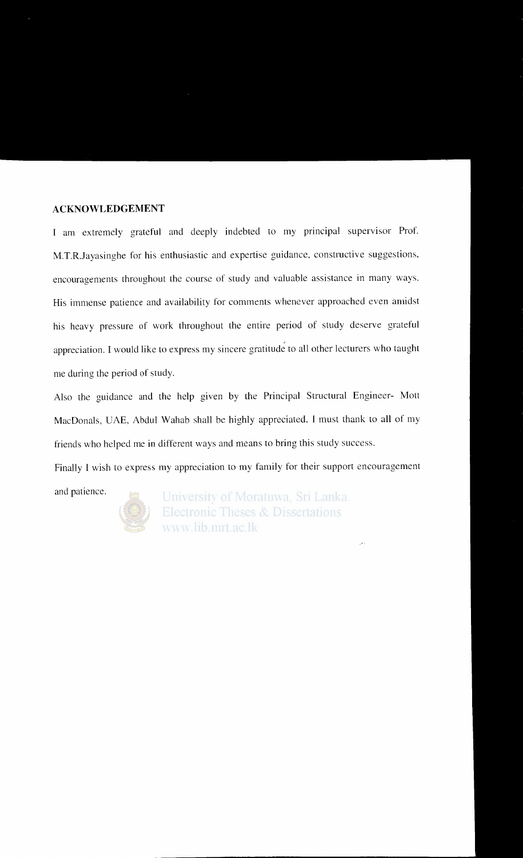### **ACKNOWLEDGEMENT**

I am extremely grateful and deeply indebted to my principal supervisor Prof. M.T.R.Jayasinghe for his enthusiastic and expertise guidance, constructive suggestions, encouragements throughout the course of study and valuable assistance in many ways. His immense patience and availability for comments whenever approached even amidst his heavy pressure of work throughout the entire period of study deserve grateful appreciation. I would like to express my sincere gratitude to all other lecturers who taught me during the period of study.

Also the guidance and the help given by the Principal Structural Engineer- Mott MacDonals, UAE, Abdul Wahab shall be highly appreciated. I must thank to all of my friends who helped me in different ways and means to bring this study success.

Finally I wish to express my appreciation to my family for their support encouragement

and patience.



University of Moratuwa, Sri Lanka. **Electronic Theses & Dissertations** www.lib.mrt.ac.lk

34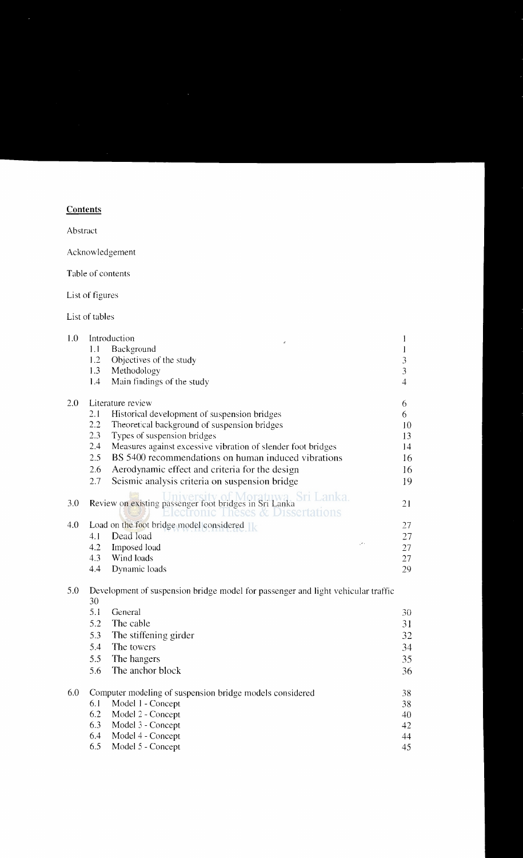## **Contents**

Abstract

Acknowledgement

Table of contents

List of figures

List of tables

| 1.0 |      | Introduction                                                                       |                 |    |
|-----|------|------------------------------------------------------------------------------------|-----------------|----|
|     | 1.1  | Background                                                                         |                 |    |
|     | 1.2  | Objectives of the study                                                            |                 | 3  |
|     | 1.3  | Methodology                                                                        |                 | 3  |
|     | 1.4  | Main findings of the study                                                         |                 | 4  |
| 2.0 |      | Literature review                                                                  |                 | 6  |
|     | 2.1  | Historical development of suspension bridges                                       |                 | 6  |
|     | 2.2  | Theoretical background of suspension bridges                                       |                 | 10 |
|     | 2.3  | Types of suspension bridges                                                        |                 | 13 |
|     | 2.4  | Measures against excessive vibration of slender foot bridges                       |                 | 14 |
|     | 2.5  | BS 5400 recommendations on human induced vibrations                                |                 | 16 |
|     | 2.6  | Aerodynamic effect and criteria for the design                                     |                 | 16 |
|     | 2.7  | Seismic analysis criteria on suspension bridge                                     |                 | 19 |
| 3.0 |      | Review on existing passenger foot bridges in Sri Lanka Sri Lanka.<br>Dissertations |                 | 21 |
| 4.0 |      | Load on the foot bridge model considered $\mathbb{R}$                              |                 | 27 |
|     | 4. I | Dead load                                                                          |                 | 27 |
|     | 4.2  | Imposed load                                                                       | $\mathcal{F}$ . | 27 |
|     | 4.3  | Wind loads                                                                         |                 | 27 |
|     | 4.4  | Dynamic loads                                                                      |                 | 29 |

## 5.0 Development of suspension bridge model for passenger and light vehicular traffic 30

|     | 5.1 | General                                                  | 30 |
|-----|-----|----------------------------------------------------------|----|
|     | 5.2 | The cable                                                | 31 |
|     | 5.3 | The stiffening girder                                    | 32 |
|     | 5.4 | The towers                                               | 34 |
|     | 5.5 | The hangers                                              | 35 |
|     | 5.6 | The anchor block                                         | 36 |
|     |     |                                                          |    |
| 6.0 |     | Computer modeling of suspension bridge models considered | 38 |
|     | 6.1 | Model 1 - Concept                                        | 38 |
|     | 6.2 | Model 2 - Concept                                        | 40 |
|     | 6.3 | Model 3 - Concept                                        | 42 |
|     | 6.4 | Model 4 - Concept                                        | 44 |
|     | 6.5 | Model 5 - Concept                                        | 45 |
|     |     |                                                          |    |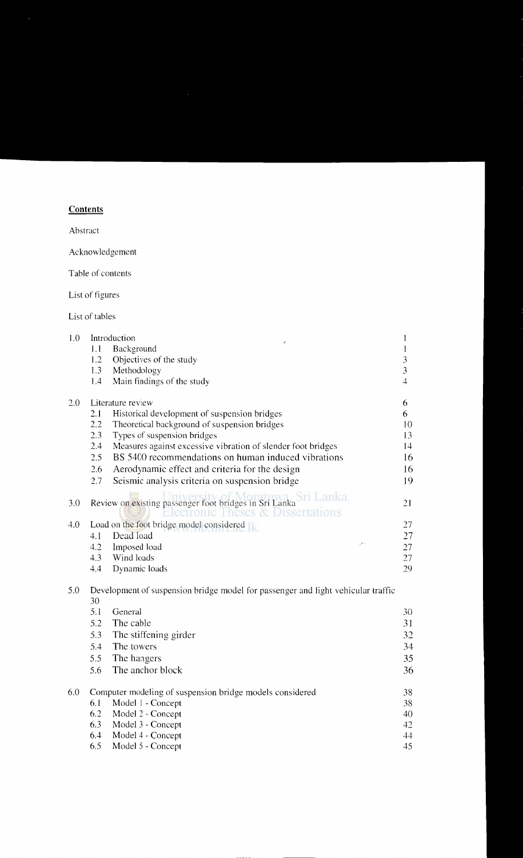## **Contents**

Abstract

Acknowledgement

Table of contents

List of figures

List of tables

| 1.0 |     | Introduction                                                                                                     |    |                |
|-----|-----|------------------------------------------------------------------------------------------------------------------|----|----------------|
|     | 1.1 | Background                                                                                                       |    |                |
|     | 1.2 | Objectives of the study                                                                                          |    | $\overline{3}$ |
|     | 1.3 | Methodology                                                                                                      |    | 3              |
|     | 1.4 | Main findings of the study                                                                                       |    | $\overline{4}$ |
| 2.0 |     | Literature review                                                                                                |    | 6              |
|     | 2.1 | Historical development of suspension bridges                                                                     |    | 6              |
|     | 2.2 | Theoretical background of suspension bridges                                                                     |    | 10             |
|     | 2.3 | Types of suspension bridges                                                                                      |    | 13             |
|     | 2.4 | Measures against excessive vibration of slender foot bridges                                                     |    | 14             |
|     | 2.5 | BS 5400 recommendations on human induced vibrations                                                              |    | 16             |
|     | 2.6 | Aerodynamic effect and criteria for the design                                                                   |    | 16             |
|     | 2.7 | Seismic analysis criteria on suspension bridge                                                                   |    | 19             |
| 3.0 |     | Review on existing passenger foot bridges in Sri Lanka Sri Lanka.<br>ectronic Theses a<br><b>v</b> Dissertations |    | 21             |
| 4.0 |     | Load on the foot bridge model considered $\mathbb{R}$                                                            |    | 27             |
|     | 4.1 | Dead load                                                                                                        |    | 27             |
|     | 4.2 | Imposed load                                                                                                     | 74 | 27             |
|     | 4.3 | Wind loads                                                                                                       |    | 27             |
|     | 4.4 | Dynamic loads                                                                                                    |    | 29             |

#### 5.0 Development of suspension bridge model for passenger and light vehicular traffic 30

|     | 5.1 | General                                                  | 30  |
|-----|-----|----------------------------------------------------------|-----|
|     | 5.2 | The cable                                                | 31  |
|     | 5.3 | The stiffening girder                                    | 32  |
|     | 5.4 | The towers                                               | 34  |
|     | 5.5 | The hangers                                              | 35  |
|     | 5.6 | The anchor block                                         | 36  |
| 6.0 |     |                                                          |     |
|     |     | Computer modeling of suspension bridge models considered | 38. |
|     | 6.1 | Model 1 - Concept                                        | 38  |
|     | 6.2 | Model 2 - Concept                                        | 40  |
|     | 6.3 | Model 3 - Concept                                        | 42  |
|     | 6.4 | Model 4 - Concept                                        | 44  |
|     | 6.5 | Model 5 - Concept                                        | 45  |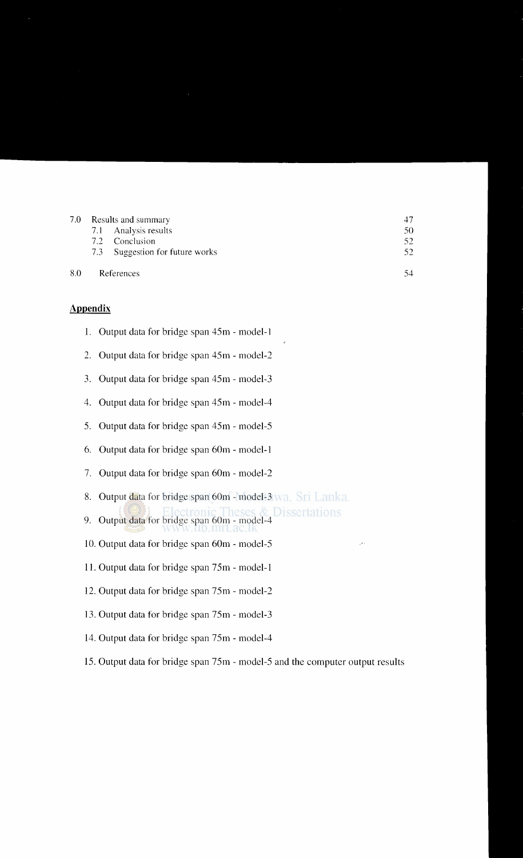| 7.0 | Results and summary |                                 |     |
|-----|---------------------|---------------------------------|-----|
|     |                     | 7.1 Analysis results            | 50  |
|     |                     | 7.2 Conclusion                  | 52  |
|     |                     | 7.3 Suggestion for future works | 52. |
| 8.0 |                     | References                      | 54  |

### **Appendix**

| 1. Output data for bridge span 45m - model-1 |  |  |
|----------------------------------------------|--|--|
|                                              |  |  |

- 2. Output data for bridge span 4Sm model-2
- 3. Output data for bridge span 4Sm- model-3
- 4. Output data for bridge span 4Sm- model-4
- *S.* Output data for bridge span 4Sm model-S
- 6. Output data for bridge span 60m- model-1
- 7. Output data for bridge span 60m- model-2
- 8. Output data for bridge span 60m model-3 wa. Sri Lanka.
- 9. Output data for bridge span 60m model-4
- 10. Output data for bridge span 60m- model-S
- 11. Output data for bridge span 7Sm- model-1
- 12. Output data for bridge span 7Sm- model-2
- 13. Output data for bridge span 7Sm model-3
- 14. Output data for bridge span 7Sm- model-4
- 1S. Output data for bridge span 7Sm- model-S and the computer output results

þ.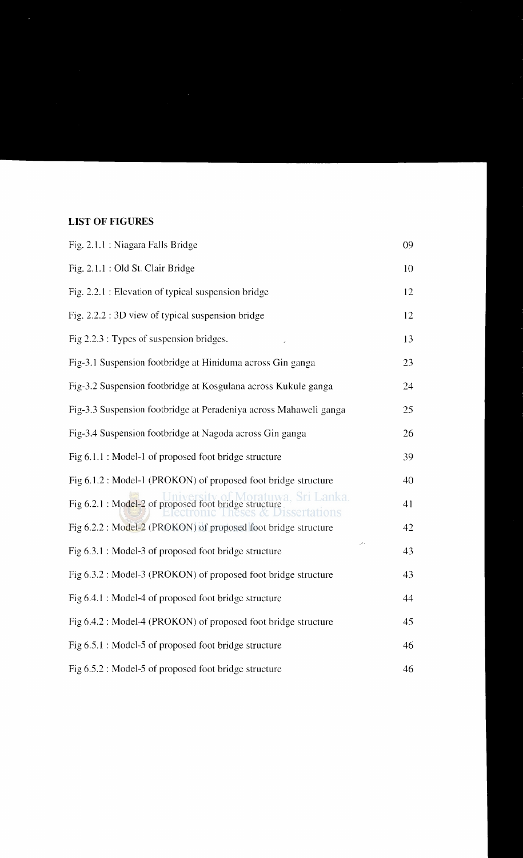# **LIST OF FIGURES**

| Fig. 2.1.1 : Niagara Falls Bridge                                           | 09 |
|-----------------------------------------------------------------------------|----|
| Fig. 2.1.1 : Old St. Clair Bridge                                           | 10 |
| Fig. 2.2.1 : Elevation of typical suspension bridge                         | 12 |
| Fig. 2.2.2 : 3D view of typical suspension bridge                           | 12 |
| Fig $2.2.3$ : Types of suspension bridges.                                  | 13 |
| Fig-3.1 Suspension footbridge at Hiniduma across Gin ganga                  | 23 |
| Fig-3.2 Suspension footbridge at Kosgulana across Kukule ganga              | 24 |
| Fig-3.3 Suspension footbridge at Peradeniya across Mahaweli ganga           | 25 |
| Fig-3.4 Suspension footbridge at Nagoda across Gin ganga                    | 26 |
| Fig 6.1.1 : Model-1 of proposed foot bridge structure                       | 39 |
| Fig 6.1.2 : Model-1 (PROKON) of proposed foot bridge structure              | 40 |
| ratuwa. Sri Lanka.<br>Fig 6.2.1 : Model-2 of proposed foot bridge structure | 41 |
| Fig 6.2.2 : Model-2 (PROKON) of proposed foot bridge structure              | 42 |
| Fig 6.3.1 : Model-3 of proposed foot bridge structure                       | 43 |
| Fig 6.3.2 : Model-3 (PROKON) of proposed foot bridge structure              | 43 |
| Fig 6.4.1 : Model-4 of proposed foot bridge structure                       | 44 |
| Fig 6.4.2 : Model-4 (PROKON) of proposed foot bridge structure              | 45 |
| Fig 6.5.1 : Model-5 of proposed foot bridge structure                       | 46 |
| Fig 6.5.2 : Model-5 of proposed foot bridge structure                       | 46 |